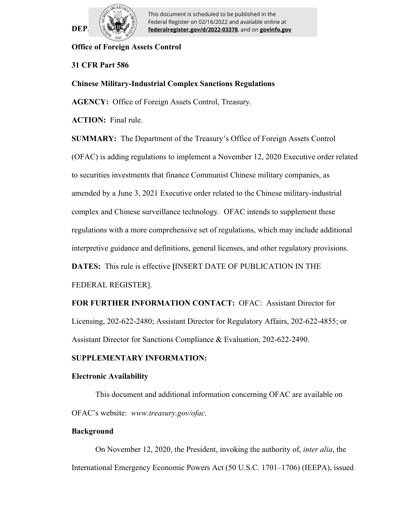

 $\text{DEP} \quad \text{[2]} \quad \text{[rederalregister.gov/d/2022-03378]}$ , and on **govinfo.gov** This document is scheduled to be published in the Federal Register on 02/16/2022 and available online at

## **Office of Foreign Assets Control**

## **31 CFR Part 586**

#### **Chinese Military-Industrial Complex Sanctions Regulations**

**AGENCY:** Office of Foreign Assets Control, Treasury.

**ACTION:** Final rule.

**SUMMARY:** The Department of the Treasury's Office of Foreign Assets Control

(OFAC) is adding regulations to implement a November 12, 2020 Executive order related

to securities investments that finance Communist Chinese military companies, as

amended by a June 3, 2021 Executive order related to the Chinese military-industrial

complex and Chinese surveillance technology. OFAC intends to supplement these

regulations with a more comprehensive set of regulations, which may include additional

interpretive guidance and definitions, general licenses, and other regulatory provisions.

**DATES:** This rule is effective **[**INSERT DATE OF PUBLICATION IN THE

FEDERAL REGISTER].

**FOR FURTHER INFORMATION CONTACT:** OFAC: Assistant Director for Licensing, 202-622-2480; Assistant Director for Regulatory Affairs, 202-622-4855; or Assistant Director for Sanctions Compliance & Evaluation, 202-622-2490.

## **SUPPLEMENTARY INFORMATION:**

#### **Electronic Availability**

This document and additional information concerning OFAC are available on OFAC's website: *www.treasury.gov/ofac*.

#### **Background**

On November 12, 2020, the President, invoking the authority of, *inter alia*, the International Emergency Economic Powers Act (50 U.S.C. 1701–1706) (IEEPA), issued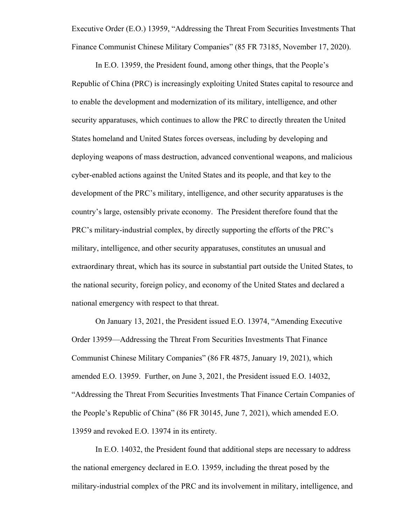Executive Order (E.O.) 13959, "Addressing the Threat From Securities Investments That Finance Communist Chinese Military Companies" (85 FR 73185, November 17, 2020).

In E.O. 13959, the President found, among other things, that the People's Republic of China (PRC) is increasingly exploiting United States capital to resource and to enable the development and modernization of its military, intelligence, and other security apparatuses, which continues to allow the PRC to directly threaten the United States homeland and United States forces overseas, including by developing and deploying weapons of mass destruction, advanced conventional weapons, and malicious cyber-enabled actions against the United States and its people, and that key to the development of the PRC's military, intelligence, and other security apparatuses is the country's large, ostensibly private economy. The President therefore found that the PRC's military-industrial complex, by directly supporting the efforts of the PRC's military, intelligence, and other security apparatuses, constitutes an unusual and extraordinary threat, which has its source in substantial part outside the United States, to the national security, foreign policy, and economy of the United States and declared a national emergency with respect to that threat.

On January 13, 2021, the President issued E.O. 13974, "Amending Executive Order 13959—Addressing the Threat From Securities Investments That Finance Communist Chinese Military Companies" (86 FR 4875, January 19, 2021), which amended E.O. 13959. Further, on June 3, 2021, the President issued E.O. 14032, "Addressing the Threat From Securities Investments That Finance Certain Companies of the People's Republic of China" (86 FR 30145, June 7, 2021), which amended E.O. 13959 and revoked E.O. 13974 in its entirety.

In E.O. 14032, the President found that additional steps are necessary to address the national emergency declared in E.O. 13959, including the threat posed by the military-industrial complex of the PRC and its involvement in military, intelligence, and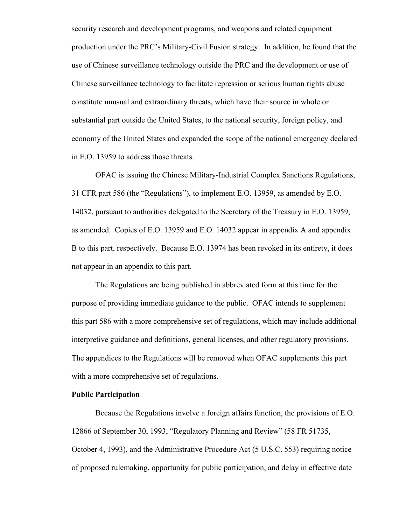security research and development programs, and weapons and related equipment production under the PRC's Military-Civil Fusion strategy. In addition, he found that the use of Chinese surveillance technology outside the PRC and the development or use of Chinese surveillance technology to facilitate repression or serious human rights abuse constitute unusual and extraordinary threats, which have their source in whole or substantial part outside the United States, to the national security, foreign policy, and economy of the United States and expanded the scope of the national emergency declared in E.O. 13959 to address those threats.

OFAC is issuing the Chinese Military-Industrial Complex Sanctions Regulations, 31 CFR part 586 (the "Regulations"), to implement E.O. 13959, as amended by E.O. 14032, pursuant to authorities delegated to the Secretary of the Treasury in E.O. 13959, as amended. Copies of E.O. 13959 and E.O. 14032 appear in appendix A and appendix B to this part, respectively. Because E.O. 13974 has been revoked in its entirety, it does not appear in an appendix to this part.

The Regulations are being published in abbreviated form at this time for the purpose of providing immediate guidance to the public. OFAC intends to supplement this part 586 with a more comprehensive set of regulations, which may include additional interpretive guidance and definitions, general licenses, and other regulatory provisions. The appendices to the Regulations will be removed when OFAC supplements this part with a more comprehensive set of regulations.

## **Public Participation**

Because the Regulations involve a foreign affairs function, the provisions of E.O. 12866 of September 30, 1993, "Regulatory Planning and Review" (58 FR 51735, October 4, 1993), and the Administrative Procedure Act (5 U.S.C. 553) requiring notice of proposed rulemaking, opportunity for public participation, and delay in effective date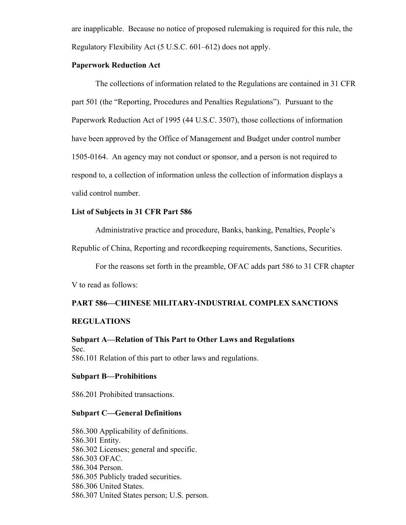are inapplicable. Because no notice of proposed rulemaking is required for this rule, the Regulatory Flexibility Act (5 U.S.C. 601–612) does not apply.

## **Paperwork Reduction Act**

The collections of information related to the Regulations are contained in 31 CFR part 501 (the "Reporting, Procedures and Penalties Regulations"). Pursuant to the Paperwork Reduction Act of 1995 (44 U.S.C. 3507), those collections of information have been approved by the Office of Management and Budget under control number 1505-0164. An agency may not conduct or sponsor, and a person is not required to respond to, a collection of information unless the collection of information displays a valid control number.

#### **List of Subjects in 31 CFR Part 586**

Administrative practice and procedure, Banks, banking, Penalties, People's

Republic of China, Reporting and recordkeeping requirements, Sanctions, Securities.

For the reasons set forth in the preamble, OFAC adds part 586 to 31 CFR chapter

V to read as follows:

## **PART 586—CHINESE MILITARY-INDUSTRIAL COMPLEX SANCTIONS**

## **REGULATIONS**

**Subpart A—Relation of This Part to Other Laws and Regulations** Sec. 586.101 Relation of this part to other laws and regulations.

#### **Subpart B—Prohibitions**

586.201 Prohibited transactions.

#### **Subpart C—General Definitions**

586.300 Applicability of definitions. 586.301 Entity. 586.302 Licenses; general and specific. 586.303 OFAC. 586.304 Person. 586.305 Publicly traded securities. 586.306 United States. 586.307 United States person; U.S. person.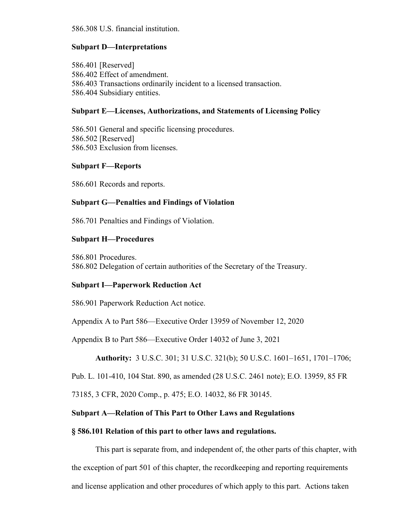586.308 U.S. financial institution.

## **Subpart D—Interpretations**

586.401 [Reserved] 586.402 Effect of amendment. 586.403 Transactions ordinarily incident to a licensed transaction. 586.404 Subsidiary entities.

## **Subpart E—Licenses, Authorizations, and Statements of Licensing Policy**

586.501 General and specific licensing procedures. 586.502 [Reserved] 586.503 Exclusion from licenses.

## **Subpart F—Reports**

586.601 Records and reports.

## **Subpart G—Penalties and Findings of Violation**

586.701 Penalties and Findings of Violation.

## **Subpart H—Procedures**

586.801 Procedures. 586.802 Delegation of certain authorities of the Secretary of the Treasury.

#### **Subpart I—Paperwork Reduction Act**

586.901 Paperwork Reduction Act notice.

Appendix A to Part 586—Executive Order 13959 of November 12, 2020

Appendix B to Part 586—Executive Order 14032 of June 3, 2021

**Authority:** 3 U.S.C. 301; 31 U.S.C. 321(b); 50 U.S.C. 1601–1651, 1701–1706;

Pub. L. 101-410, 104 Stat. 890, as amended (28 U.S.C. 2461 note); E.O. 13959, 85 FR

73185, 3 CFR, 2020 Comp., p. 475; E.O. 14032, 86 FR 30145.

## **Subpart A—Relation of This Part to Other Laws and Regulations**

#### **§ 586.101 Relation of this part to other laws and regulations.**

This part is separate from, and independent of, the other parts of this chapter, with the exception of part 501 of this chapter, the recordkeeping and reporting requirements and license application and other procedures of which apply to this part. Actions taken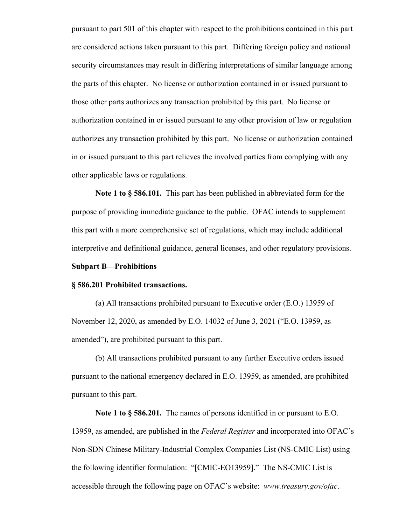pursuant to part 501 of this chapter with respect to the prohibitions contained in this part are considered actions taken pursuant to this part. Differing foreign policy and national security circumstances may result in differing interpretations of similar language among the parts of this chapter. No license or authorization contained in or issued pursuant to those other parts authorizes any transaction prohibited by this part. No license or authorization contained in or issued pursuant to any other provision of law or regulation authorizes any transaction prohibited by this part. No license or authorization contained in or issued pursuant to this part relieves the involved parties from complying with any other applicable laws or regulations.

**Note 1 to § 586.101.** This part has been published in abbreviated form for the purpose of providing immediate guidance to the public. OFAC intends to supplement this part with a more comprehensive set of regulations, which may include additional interpretive and definitional guidance, general licenses, and other regulatory provisions.

## **Subpart B—Prohibitions**

#### **§ 586.201 Prohibited transactions.**

(a) All transactions prohibited pursuant to Executive order (E.O.) 13959 of November 12, 2020, as amended by E.O. 14032 of June 3, 2021 ("E.O. 13959, as amended"), are prohibited pursuant to this part.

(b) All transactions prohibited pursuant to any further Executive orders issued pursuant to the national emergency declared in E.O. 13959, as amended, are prohibited pursuant to this part.

**Note 1 to § 586.201.** The names of persons identified in or pursuant to E.O. 13959, as amended, are published in the *Federal Register* and incorporated into OFAC's Non-SDN Chinese Military-Industrial Complex Companies List (NS-CMIC List) using the following identifier formulation: "[CMIC-EO13959]." The NS-CMIC List is accessible through the following page on OFAC's website: *www.treasury.gov/ofac*.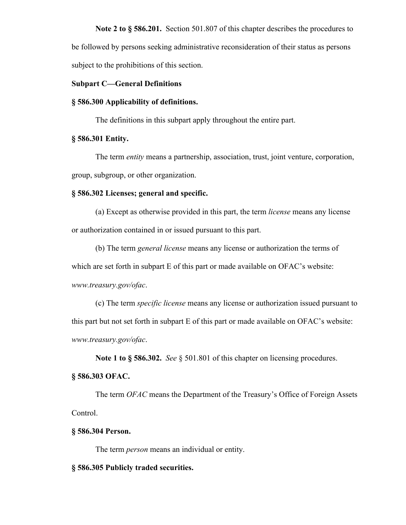**Note 2 to § 586.201.** Section 501.807 of this chapter describes the procedures to be followed by persons seeking administrative reconsideration of their status as persons subject to the prohibitions of this section.

#### **Subpart C—General Definitions**

#### **§ 586.300 Applicability of definitions.**

The definitions in this subpart apply throughout the entire part.

## **§ 586.301 Entity.**

The term *entity* means a partnership, association, trust, joint venture, corporation, group, subgroup, or other organization.

## **§ 586.302 Licenses; general and specific.**

(a) Except as otherwise provided in this part, the term *license* means any license or authorization contained in or issued pursuant to this part.

(b) The term *general license* means any license or authorization the terms of which are set forth in subpart E of this part or made available on OFAC's website: *www.treasury.gov/ofac*.

(c) The term *specific license* means any license or authorization issued pursuant to this part but not set forth in subpart E of this part or made available on OFAC's website: *www.treasury.gov/ofac*.

**Note 1 to § 586.302.** *See* § 501.801 of this chapter on licensing procedures.

## **§ 586.303 OFAC.**

The term *OFAC* means the Department of the Treasury's Office of Foreign Assets Control.

#### **§ 586.304 Person.**

The term *person* means an individual or entity.

#### **§ 586.305 Publicly traded securities.**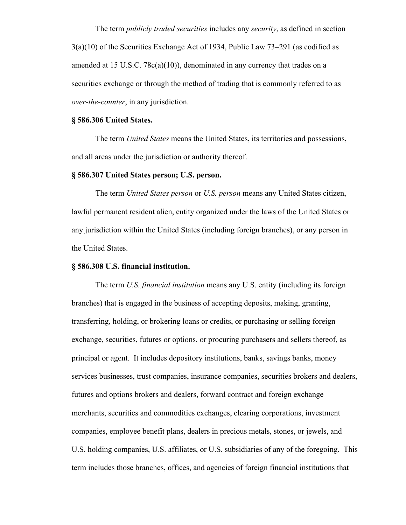The term *publicly traded securities* includes any *security*, as defined in section 3(a)(10) of the Securities Exchange Act of 1934, Public Law 73–291 (as codified as amended at 15 U.S.C. 78c(a)(10)), denominated in any currency that trades on a securities exchange or through the method of trading that is commonly referred to as *over-the-counter*, in any jurisdiction.

## **§ 586.306 United States.**

The term *United States* means the United States, its territories and possessions, and all areas under the jurisdiction or authority thereof.

#### **§ 586.307 United States person; U.S. person.**

The term *United States person* or *U.S. person* means any United States citizen, lawful permanent resident alien, entity organized under the laws of the United States or any jurisdiction within the United States (including foreign branches), or any person in the United States.

#### **§ 586.308 U.S. financial institution.**

The term *U.S. financial institution* means any U.S. entity (including its foreign branches) that is engaged in the business of accepting deposits, making, granting, transferring, holding, or brokering loans or credits, or purchasing or selling foreign exchange, securities, futures or options, or procuring purchasers and sellers thereof, as principal or agent. It includes depository institutions, banks, savings banks, money services businesses, trust companies, insurance companies, securities brokers and dealers, futures and options brokers and dealers, forward contract and foreign exchange merchants, securities and commodities exchanges, clearing corporations, investment companies, employee benefit plans, dealers in precious metals, stones, or jewels, and U.S. holding companies, U.S. affiliates, or U.S. subsidiaries of any of the foregoing. This term includes those branches, offices, and agencies of foreign financial institutions that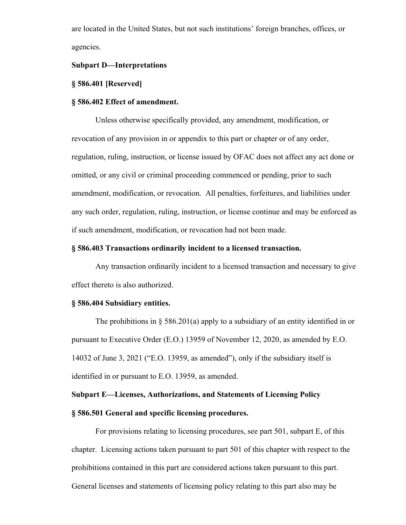are located in the United States, but not such institutions' foreign branches, offices, or agencies.

## **Subpart D—Interpretations**

## **§ 586.401 [Reserved]**

#### **§ 586.402 Effect of amendment.**

Unless otherwise specifically provided, any amendment, modification, or revocation of any provision in or appendix to this part or chapter or of any order, regulation, ruling, instruction, or license issued by OFAC does not affect any act done or omitted, or any civil or criminal proceeding commenced or pending, prior to such amendment, modification, or revocation. All penalties, forfeitures, and liabilities under any such order, regulation, ruling, instruction, or license continue and may be enforced as if such amendment, modification, or revocation had not been made.

## **§ 586.403 Transactions ordinarily incident to a licensed transaction.**

Any transaction ordinarily incident to a licensed transaction and necessary to give effect thereto is also authorized.

#### **§ 586.404 Subsidiary entities.**

The prohibitions in  $\S$  586.201(a) apply to a subsidiary of an entity identified in or pursuant to Executive Order (E.O.) 13959 of November 12, 2020, as amended by E.O. 14032 of June 3, 2021 ("E.O. 13959, as amended"), only if the subsidiary itself is identified in or pursuant to E.O. 13959, as amended.

## **Subpart E—Licenses, Authorizations, and Statements of Licensing Policy**

## **§ 586.501 General and specific licensing procedures.**

For provisions relating to licensing procedures, see part 501, subpart E, of this chapter. Licensing actions taken pursuant to part 501 of this chapter with respect to the prohibitions contained in this part are considered actions taken pursuant to this part. General licenses and statements of licensing policy relating to this part also may be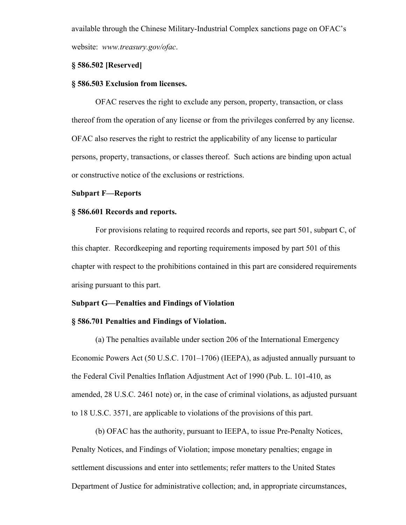available through the Chinese Military-Industrial Complex sanctions page on OFAC's website: *www.treasury.gov/ofac*.

## **§ 586.502 [Reserved]**

#### **§ 586.503 Exclusion from licenses.**

OFAC reserves the right to exclude any person, property, transaction, or class thereof from the operation of any license or from the privileges conferred by any license. OFAC also reserves the right to restrict the applicability of any license to particular persons, property, transactions, or classes thereof. Such actions are binding upon actual or constructive notice of the exclusions or restrictions.

#### **Subpart F—Reports**

#### **§ 586.601 Records and reports.**

For provisions relating to required records and reports, see part 501, subpart C, of this chapter. Recordkeeping and reporting requirements imposed by part 501 of this chapter with respect to the prohibitions contained in this part are considered requirements arising pursuant to this part.

## **Subpart G—Penalties and Findings of Violation**

## **§ 586.701 Penalties and Findings of Violation.**

(a) The penalties available under section 206 of the International Emergency Economic Powers Act (50 U.S.C. 1701–1706) (IEEPA), as adjusted annually pursuant to the Federal Civil Penalties Inflation Adjustment Act of 1990 (Pub. L. 101-410, as amended, 28 U.S.C. 2461 note) or, in the case of criminal violations, as adjusted pursuant to 18 U.S.C. 3571, are applicable to violations of the provisions of this part.

(b) OFAC has the authority, pursuant to IEEPA, to issue Pre-Penalty Notices, Penalty Notices, and Findings of Violation; impose monetary penalties; engage in settlement discussions and enter into settlements; refer matters to the United States Department of Justice for administrative collection; and, in appropriate circumstances,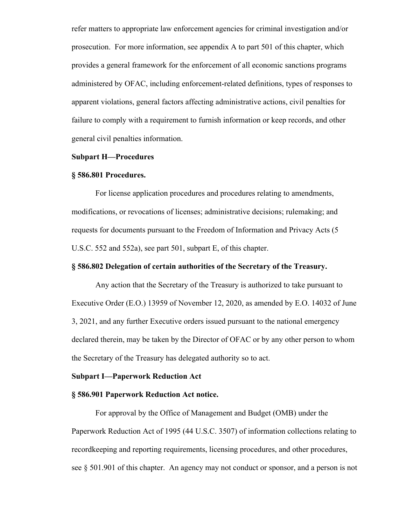refer matters to appropriate law enforcement agencies for criminal investigation and/or prosecution. For more information, see appendix A to part 501 of this chapter, which provides a general framework for the enforcement of all economic sanctions programs administered by OFAC, including enforcement-related definitions, types of responses to apparent violations, general factors affecting administrative actions, civil penalties for failure to comply with a requirement to furnish information or keep records, and other general civil penalties information.

## **Subpart H—Procedures**

#### **§ 586.801 Procedures.**

For license application procedures and procedures relating to amendments, modifications, or revocations of licenses; administrative decisions; rulemaking; and requests for documents pursuant to the Freedom of Information and Privacy Acts (5 U.S.C. 552 and 552a), see part 501, subpart E, of this chapter.

#### **§ 586.802 Delegation of certain authorities of the Secretary of the Treasury.**

Any action that the Secretary of the Treasury is authorized to take pursuant to Executive Order (E.O.) 13959 of November 12, 2020, as amended by E.O. 14032 of June 3, 2021, and any further Executive orders issued pursuant to the national emergency declared therein, may be taken by the Director of OFAC or by any other person to whom the Secretary of the Treasury has delegated authority so to act.

#### **Subpart I—Paperwork Reduction Act**

## **§ 586.901 Paperwork Reduction Act notice.**

For approval by the Office of Management and Budget (OMB) under the Paperwork Reduction Act of 1995 (44 U.S.C. 3507) of information collections relating to recordkeeping and reporting requirements, licensing procedures, and other procedures, see § 501.901 of this chapter. An agency may not conduct or sponsor, and a person is not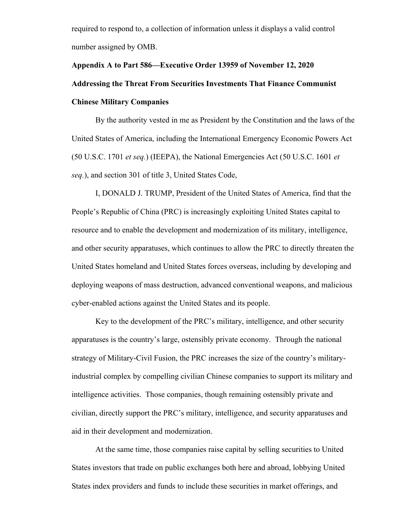required to respond to, a collection of information unless it displays a valid control number assigned by OMB.

## **Appendix A to Part 586—Executive Order 13959 of November 12, 2020 Addressing the Threat From Securities Investments That Finance Communist Chinese Military Companies**

By the authority vested in me as President by the Constitution and the laws of the United States of America, including the International Emergency Economic Powers Act (50 U.S.C. 1701 *et seq.*) (IEEPA), the National Emergencies Act (50 U.S.C. 1601 *et seq.*), and section 301 of title 3, United States Code,

I, DONALD J. TRUMP, President of the United States of America, find that the People's Republic of China (PRC) is increasingly exploiting United States capital to resource and to enable the development and modernization of its military, intelligence, and other security apparatuses, which continues to allow the PRC to directly threaten the United States homeland and United States forces overseas, including by developing and deploying weapons of mass destruction, advanced conventional weapons, and malicious cyber-enabled actions against the United States and its people.

Key to the development of the PRC's military, intelligence, and other security apparatuses is the country's large, ostensibly private economy. Through the national strategy of Military-Civil Fusion, the PRC increases the size of the country's militaryindustrial complex by compelling civilian Chinese companies to support its military and intelligence activities. Those companies, though remaining ostensibly private and civilian, directly support the PRC's military, intelligence, and security apparatuses and aid in their development and modernization.

At the same time, those companies raise capital by selling securities to United States investors that trade on public exchanges both here and abroad, lobbying United States index providers and funds to include these securities in market offerings, and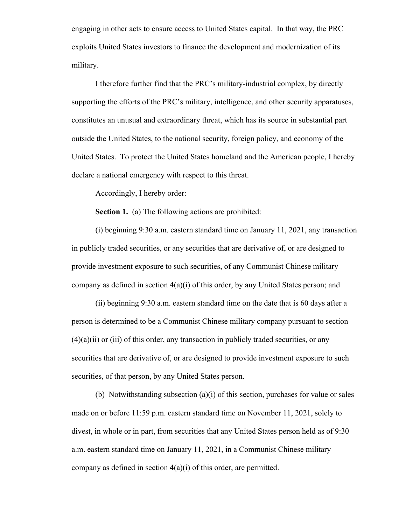engaging in other acts to ensure access to United States capital. In that way, the PRC exploits United States investors to finance the development and modernization of its military.

I therefore further find that the PRC's military-industrial complex, by directly supporting the efforts of the PRC's military, intelligence, and other security apparatuses, constitutes an unusual and extraordinary threat, which has its source in substantial part outside the United States, to the national security, foreign policy, and economy of the United States. To protect the United States homeland and the American people, I hereby declare a national emergency with respect to this threat.

Accordingly, I hereby order:

**Section 1.** (a) The following actions are prohibited:

(i) beginning 9:30 a.m. eastern standard time on January 11, 2021, any transaction in publicly traded securities, or any securities that are derivative of, or are designed to provide investment exposure to such securities, of any Communist Chinese military company as defined in section  $4(a)(i)$  of this order, by any United States person; and

(ii) beginning 9:30 a.m. eastern standard time on the date that is 60 days after a person is determined to be a Communist Chinese military company pursuant to section  $(4)(a)(ii)$  or  $(iii)$  of this order, any transaction in publicly traded securities, or any securities that are derivative of, or are designed to provide investment exposure to such securities, of that person, by any United States person.

(b) Notwithstanding subsection (a)(i) of this section, purchases for value or sales made on or before 11:59 p.m. eastern standard time on November 11, 2021, solely to divest, in whole or in part, from securities that any United States person held as of 9:30 a.m. eastern standard time on January 11, 2021, in a Communist Chinese military company as defined in section 4(a)(i) of this order, are permitted.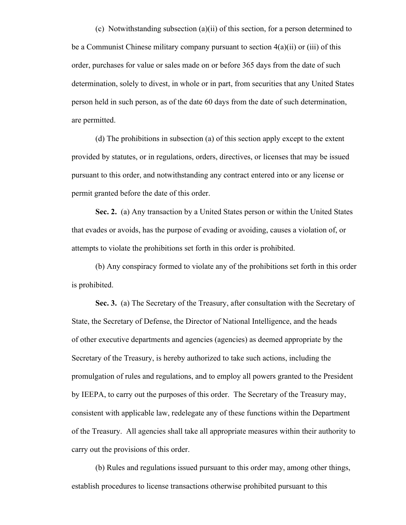(c) Notwithstanding subsection (a)(ii) of this section, for a person determined to be a Communist Chinese military company pursuant to section  $4(a)(ii)$  or (iii) of this order, purchases for value or sales made on or before 365 days from the date of such determination, solely to divest, in whole or in part, from securities that any United States person held in such person, as of the date 60 days from the date of such determination, are permitted.

(d) The prohibitions in subsection (a) of this section apply except to the extent provided by statutes, or in regulations, orders, directives, or licenses that may be issued pursuant to this order, and notwithstanding any contract entered into or any license or permit granted before the date of this order.

**Sec. 2.** (a) Any transaction by a United States person or within the United States that evades or avoids, has the purpose of evading or avoiding, causes a violation of, or attempts to violate the prohibitions set forth in this order is prohibited.

(b) Any conspiracy formed to violate any of the prohibitions set forth in this order is prohibited.

**Sec. 3.** (a) The Secretary of the Treasury, after consultation with the Secretary of State, the Secretary of Defense, the Director of National Intelligence, and the heads of other executive departments and agencies (agencies) as deemed appropriate by the Secretary of the Treasury, is hereby authorized to take such actions, including the promulgation of rules and regulations, and to employ all powers granted to the President by IEEPA, to carry out the purposes of this order. The Secretary of the Treasury may, consistent with applicable law, redelegate any of these functions within the Department of the Treasury. All agencies shall take all appropriate measures within their authority to carry out the provisions of this order.

(b) Rules and regulations issued pursuant to this order may, among other things, establish procedures to license transactions otherwise prohibited pursuant to this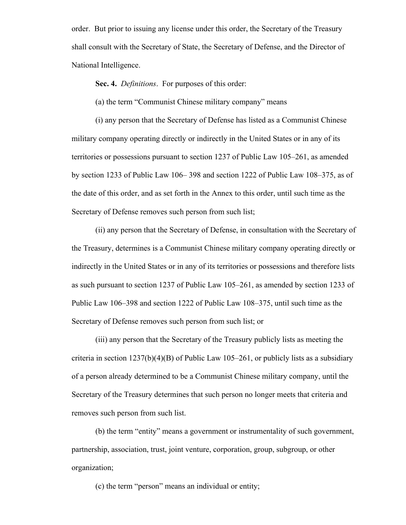order. But prior to issuing any license under this order, the Secretary of the Treasury shall consult with the Secretary of State, the Secretary of Defense, and the Director of National Intelligence.

#### **Sec. 4.** *Definitions*. For purposes of this order:

(a) the term "Communist Chinese military company" means

(i) any person that the Secretary of Defense has listed as a Communist Chinese military company operating directly or indirectly in the United States or in any of its territories or possessions pursuant to section 1237 of Public Law 105–261, as amended by section 1233 of Public Law 106– 398 and section 1222 of Public Law 108–375, as of the date of this order, and as set forth in the Annex to this order, until such time as the Secretary of Defense removes such person from such list;

(ii) any person that the Secretary of Defense, in consultation with the Secretary of the Treasury, determines is a Communist Chinese military company operating directly or indirectly in the United States or in any of its territories or possessions and therefore lists as such pursuant to section 1237 of Public Law 105–261, as amended by section 1233 of Public Law 106–398 and section 1222 of Public Law 108–375, until such time as the Secretary of Defense removes such person from such list; or

(iii) any person that the Secretary of the Treasury publicly lists as meeting the criteria in section  $1237(b)(4)(B)$  of Public Law  $105-261$ , or publicly lists as a subsidiary of a person already determined to be a Communist Chinese military company, until the Secretary of the Treasury determines that such person no longer meets that criteria and removes such person from such list.

(b) the term "entity" means a government or instrumentality of such government, partnership, association, trust, joint venture, corporation, group, subgroup, or other organization;

(c) the term "person" means an individual or entity;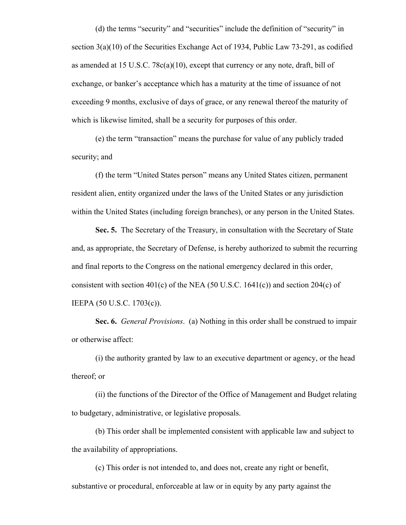(d) the terms "security" and "securities" include the definition of "security" in section 3(a)(10) of the Securities Exchange Act of 1934, Public Law 73-291, as codified as amended at 15 U.S.C. 78c(a)(10), except that currency or any note, draft, bill of exchange, or banker's acceptance which has a maturity at the time of issuance of not exceeding 9 months, exclusive of days of grace, or any renewal thereof the maturity of which is likewise limited, shall be a security for purposes of this order.

(e) the term "transaction" means the purchase for value of any publicly traded security; and

(f) the term "United States person" means any United States citizen, permanent resident alien, entity organized under the laws of the United States or any jurisdiction within the United States (including foreign branches), or any person in the United States.

**Sec. 5.** The Secretary of the Treasury, in consultation with the Secretary of State and, as appropriate, the Secretary of Defense, is hereby authorized to submit the recurring and final reports to the Congress on the national emergency declared in this order, consistent with section  $401(c)$  of the NEA (50 U.S.C. 1641(c)) and section 204(c) of IEEPA (50 U.S.C. 1703(c)).

**Sec. 6.** *General Provisions*. (a) Nothing in this order shall be construed to impair or otherwise affect:

(i) the authority granted by law to an executive department or agency, or the head thereof; or

(ii) the functions of the Director of the Office of Management and Budget relating to budgetary, administrative, or legislative proposals.

(b) This order shall be implemented consistent with applicable law and subject to the availability of appropriations.

(c) This order is not intended to, and does not, create any right or benefit, substantive or procedural, enforceable at law or in equity by any party against the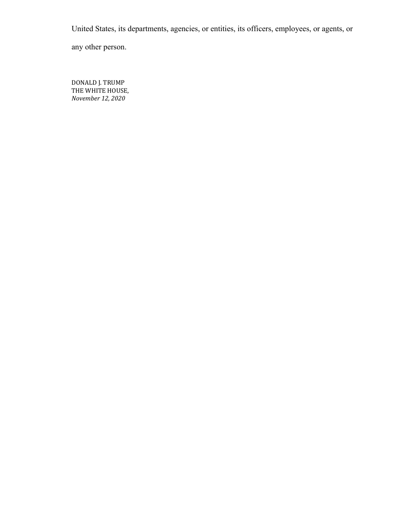United States, its departments, agencies, or entities, its officers, employees, or agents, or

any other person.

DONALD J. TRUMP THE WHITE HOUSE, *November 12, 2020*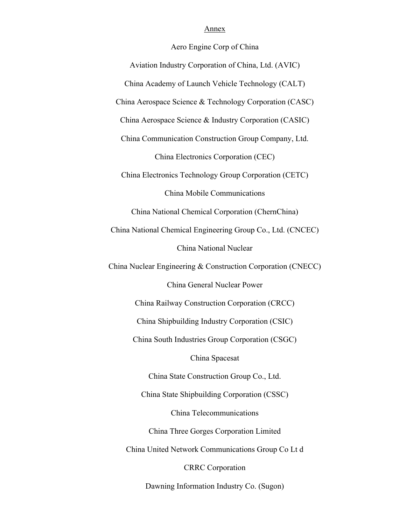#### Annex

Aero Engine Corp of China

Aviation Industry Corporation of China, Ltd. (AVIC) China Academy of Launch Vehicle Technology (CALT) China Aerospace Science & Technology Corporation (CASC) China Aerospace Science & Industry Corporation (CASIC) China Communication Construction Group Company, Ltd. China Electronics Corporation (CEC) China Electronics Technology Group Corporation (CETC) China Mobile Communications China National Chemical Corporation (ChernChina) China National Chemical Engineering Group Co., Ltd. (CNCEC) China National Nuclear China Nuclear Engineering & Construction Corporation (CNECC) China General Nuclear Power China Railway Construction Corporation (CRCC) China Shipbuilding Industry Corporation (CSIC) China South Industries Group Corporation (CSGC) China Spacesat China State Construction Group Co., Ltd. China State Shipbuilding Corporation (CSSC) China Telecommunications China Three Gorges Corporation Limited China United Network Communications Group Co Lt d CRRC Corporation Dawning Information Industry Co. (Sugon)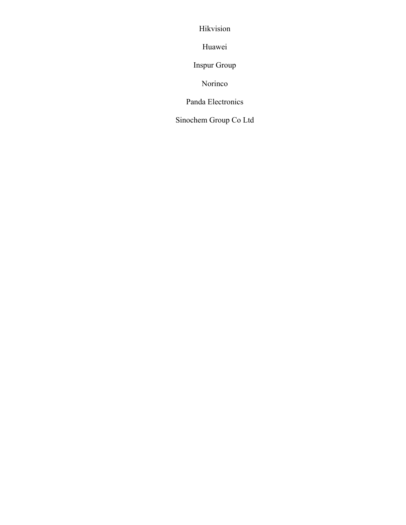Hikvision

Huawei

Inspur Group

Norinco

Panda Electronics

Sinochem Group Co Ltd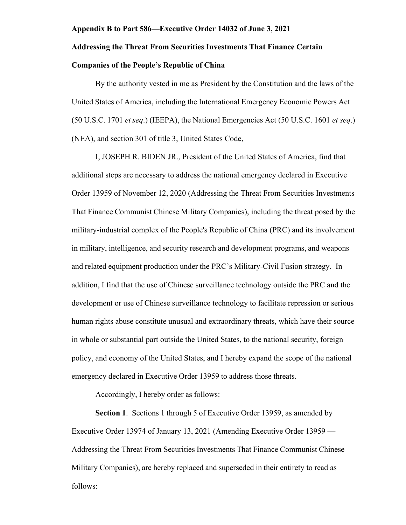#### **Appendix B to Part 586—Executive Order 14032 of June 3, 2021**

## **Addressing the Threat From Securities Investments That Finance Certain**

## **Companies of the People's Republic of China**

By the authority vested in me as President by the Constitution and the laws of the United States of America, including the International Emergency Economic Powers Act (50 U.S.C. 1701 *et seq*.) (IEEPA), the National Emergencies Act (50 U.S.C. 1601 *et seq*.) (NEA), and section 301 of title 3, United States Code,

I, JOSEPH R. BIDEN JR., President of the United States of America, find that additional steps are necessary to address the national emergency declared in Executive Order 13959 of November 12, 2020 (Addressing the Threat From Securities Investments That Finance Communist Chinese Military Companies), including the threat posed by the military-industrial complex of the People's Republic of China (PRC) and its involvement in military, intelligence, and security research and development programs, and weapons and related equipment production under the PRC's Military-Civil Fusion strategy. In addition, I find that the use of Chinese surveillance technology outside the PRC and the development or use of Chinese surveillance technology to facilitate repression or serious human rights abuse constitute unusual and extraordinary threats, which have their source in whole or substantial part outside the United States, to the national security, foreign policy, and economy of the United States, and I hereby expand the scope of the national emergency declared in Executive Order 13959 to address those threats.

Accordingly, I hereby order as follows:

**Section 1**. Sections 1 through 5 of Executive Order 13959, as amended by Executive Order 13974 of January 13, 2021 (Amending Executive Order 13959 — Addressing the Threat From Securities Investments That Finance Communist Chinese Military Companies), are hereby replaced and superseded in their entirety to read as follows: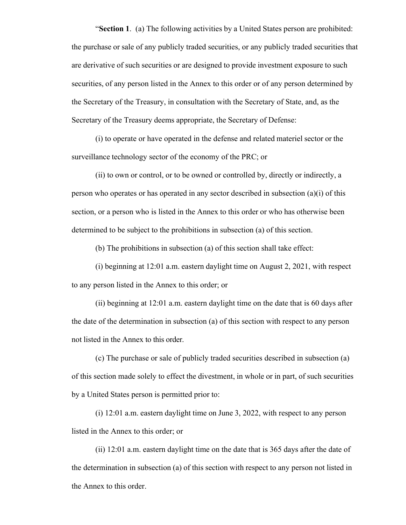"**Section 1**. (a) The following activities by a United States person are prohibited: the purchase or sale of any publicly traded securities, or any publicly traded securities that are derivative of such securities or are designed to provide investment exposure to such securities, of any person listed in the Annex to this order or of any person determined by the Secretary of the Treasury, in consultation with the Secretary of State, and, as the Secretary of the Treasury deems appropriate, the Secretary of Defense:

(i) to operate or have operated in the defense and related materiel sector or the surveillance technology sector of the economy of the PRC; or

(ii) to own or control, or to be owned or controlled by, directly or indirectly, a person who operates or has operated in any sector described in subsection (a)(i) of this section, or a person who is listed in the Annex to this order or who has otherwise been determined to be subject to the prohibitions in subsection (a) of this section.

(b) The prohibitions in subsection (a) of this section shall take effect:

(i) beginning at 12:01 a.m. eastern daylight time on August 2, 2021, with respect to any person listed in the Annex to this order; or

(ii) beginning at 12:01 a.m. eastern daylight time on the date that is 60 days after the date of the determination in subsection (a) of this section with respect to any person not listed in the Annex to this order.

(c) The purchase or sale of publicly traded securities described in subsection (a) of this section made solely to effect the divestment, in whole or in part, of such securities by a United States person is permitted prior to:

(i) 12:01 a.m. eastern daylight time on June 3, 2022, with respect to any person listed in the Annex to this order; or

(ii) 12:01 a.m. eastern daylight time on the date that is 365 days after the date of the determination in subsection (a) of this section with respect to any person not listed in the Annex to this order.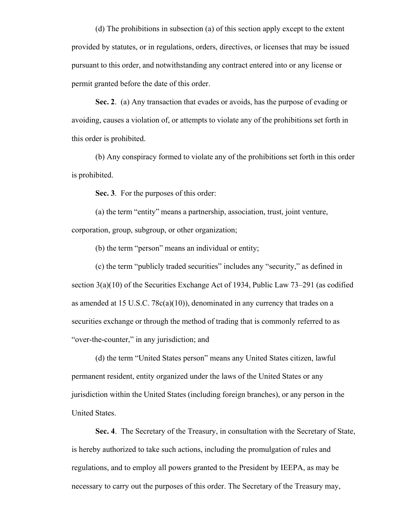(d) The prohibitions in subsection (a) of this section apply except to the extent provided by statutes, or in regulations, orders, directives, or licenses that may be issued pursuant to this order, and notwithstanding any contract entered into or any license or permit granted before the date of this order.

**Sec. 2**. (a) Any transaction that evades or avoids, has the purpose of evading or avoiding, causes a violation of, or attempts to violate any of the prohibitions set forth in this order is prohibited.

(b) Any conspiracy formed to violate any of the prohibitions set forth in this order is prohibited.

**Sec. 3**. For the purposes of this order:

(a) the term "entity" means a partnership, association, trust, joint venture, corporation, group, subgroup, or other organization;

(b) the term "person" means an individual or entity;

(c) the term "publicly traded securities" includes any "security," as defined in section  $3(a)(10)$  of the Securities Exchange Act of 1934, Public Law  $73-291$  (as codified as amended at 15 U.S.C. 78 $c(a)(10)$ , denominated in any currency that trades on a securities exchange or through the method of trading that is commonly referred to as "over-the-counter," in any jurisdiction; and

(d) the term "United States person" means any United States citizen, lawful permanent resident, entity organized under the laws of the United States or any jurisdiction within the United States (including foreign branches), or any person in the United States.

**Sec. 4**. The Secretary of the Treasury, in consultation with the Secretary of State, is hereby authorized to take such actions, including the promulgation of rules and regulations, and to employ all powers granted to the President by IEEPA, as may be necessary to carry out the purposes of this order. The Secretary of the Treasury may,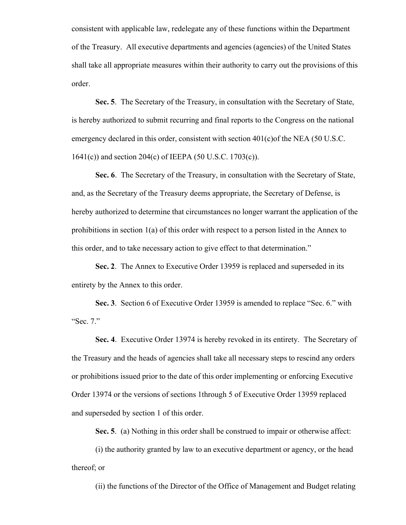consistent with applicable law, redelegate any of these functions within the Department of the Treasury. All executive departments and agencies (agencies) of the United States shall take all appropriate measures within their authority to carry out the provisions of this order.

**Sec. 5**. The Secretary of the Treasury, in consultation with the Secretary of State, is hereby authorized to submit recurring and final reports to the Congress on the national emergency declared in this order, consistent with section 401(c)of the NEA (50 U.S.C. 1641(c)) and section 204(c) of IEEPA (50 U.S.C. 1703(c)).

**Sec. 6**. The Secretary of the Treasury, in consultation with the Secretary of State, and, as the Secretary of the Treasury deems appropriate, the Secretary of Defense, is hereby authorized to determine that circumstances no longer warrant the application of the prohibitions in section 1(a) of this order with respect to a person listed in the Annex to this order, and to take necessary action to give effect to that determination."

**Sec. 2**. The Annex to Executive Order 13959 is replaced and superseded in its entirety by the Annex to this order.

**Sec. 3**. Section 6 of Executive Order 13959 is amended to replace "Sec. 6." with "Sec. 7."

**Sec. 4**. Executive Order 13974 is hereby revoked in its entirety. The Secretary of the Treasury and the heads of agencies shall take all necessary steps to rescind any orders or prohibitions issued prior to the date of this order implementing or enforcing Executive Order 13974 or the versions of sections 1through 5 of Executive Order 13959 replaced and superseded by section 1 of this order.

**Sec. 5**. (a) Nothing in this order shall be construed to impair or otherwise affect:

(i) the authority granted by law to an executive department or agency, or the head thereof; or

(ii) the functions of the Director of the Office of Management and Budget relating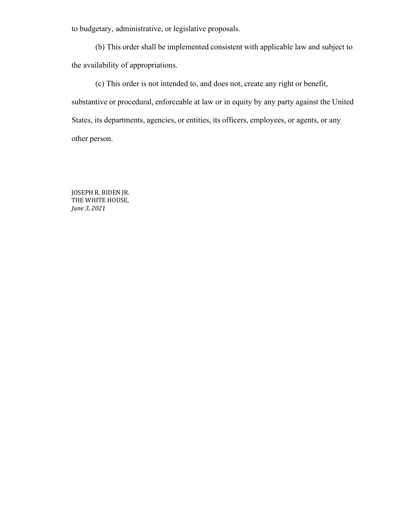to budgetary, administrative, or legislative proposals.

(b) This order shall be implemented consistent with applicable law and subject to the availability of appropriations.

(c) This order is not intended to, and does not, create any right or benefit, substantive or procedural, enforceable at law or in equity by any party against the United States, its departments, agencies, or entities, its officers, employees, or agents, or any other person.

JOSEPH R. BIDEN JR. THE WHITE HOUSE, *June 3, 2021*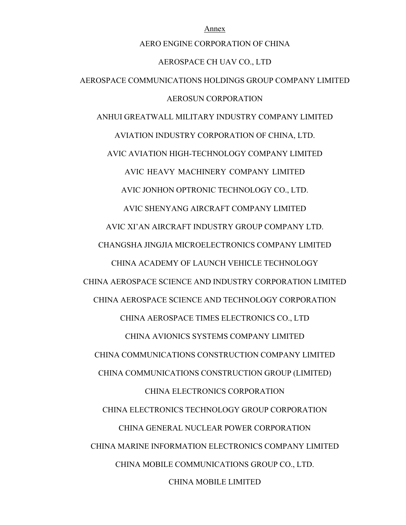AERO ENGINE CORPORATION OF CHINA AEROSPACE CH UAV CO., LTD AEROSPACE COMMUNICATIONS HOLDINGS GROUP COMPANY LIMITED AEROSUN CORPORATION ANHUI GREATWALL MILITARY INDUSTRY COMPANY LIMITED AVIATION INDUSTRY CORPORATION OF CHINA, LTD. AVIC AVIATION HIGH-TECHNOLOGY COMPANY LIMITED AVIC HEAVY MACHINERY COMPANY LIMITED AVIC JONHON OPTRONIC TECHNOLOGY CO., LTD. AVIC SHENYANG AIRCRAFT COMPANY LIMITED AVIC XI'AN AIRCRAFT INDUSTRY GROUP COMPANY LTD. CHANGSHA JINGJIA MICROELECTRONICS COMPANY LIMITED CHINA ACADEMY OF LAUNCH VEHICLE TECHNOLOGY CHINA AEROSPACE SCIENCE AND INDUSTRY CORPORATION LIMITED CHINA AEROSPACE SCIENCE AND TECHNOLOGY CORPORATION CHINA AEROSPACE TIMES ELECTRONICS CO., LTD CHINA AVIONICS SYSTEMS COMPANY LIMITED CHINA COMMUNICATIONS CONSTRUCTION COMPANY LIMITED CHINA COMMUNICATIONS CONSTRUCTION GROUP (LIMITED) CHINA ELECTRONICS CORPORATION CHINA ELECTRONICS TECHNOLOGY GROUP CORPORATION CHINA GENERAL NUCLEAR POWER CORPORATION CHINA MARINE INFORMATION ELECTRONICS COMPANY LIMITED CHINA MOBILE COMMUNICATIONS GROUP CO., LTD. CHINA MOBILE LIMITED

Annex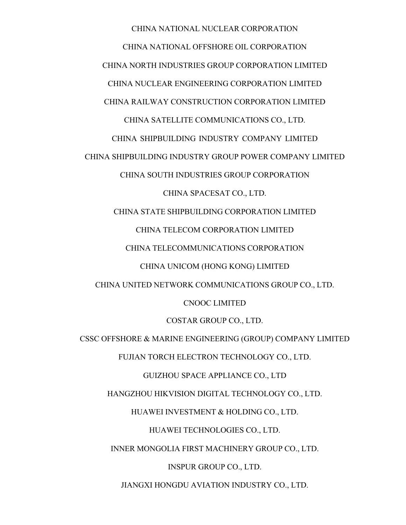CHINA NATIONAL NUCLEAR CORPORATION CHINA NATIONAL OFFSHORE OIL CORPORATION CHINA NORTH INDUSTRIES GROUP CORPORATION LIMITED CHINA NUCLEAR ENGINEERING CORPORATION LIMITED CHINA RAILWAY CONSTRUCTION CORPORATION LIMITED CHINA SATELLITE COMMUNICATIONS CO., LTD. CHINA SHIPBUILDING INDUSTRY COMPANY LIMITED CHINA SHIPBUILDING INDUSTRY GROUP POWER COMPANY LIMITED CHINA SOUTH INDUSTRIES GROUP CORPORATION CHINA SPACESAT CO., LTD. CHINA STATE SHIPBUILDING CORPORATION LIMITED CHINA TELECOM CORPORATION LIMITED CHINA TELECOMMUNICATIONS CORPORATION CHINA UNICOM (HONG KONG) LIMITED CHINA UNITED NETWORK COMMUNICATIONS GROUP CO., LTD. CNOOC LIMITED COSTAR GROUP CO., LTD. CSSC OFFSHORE & MARINE ENGINEERING (GROUP) COMPANY LIMITED FUJIAN TORCH ELECTRON TECHNOLOGY CO., LTD. GUIZHOU SPACE APPLIANCE CO., LTD HANGZHOU HIKVISION DIGITAL TECHNOLOGY CO., LTD. HUAWEI INVESTMENT & HOLDING CO., LTD. HUAWEI TECHNOLOGIES CO., LTD. INNER MONGOLIA FIRST MACHINERY GROUP CO., LTD. INSPUR GROUP CO., LTD. JIANGXI HONGDU AVIATION INDUSTRY CO., LTD.